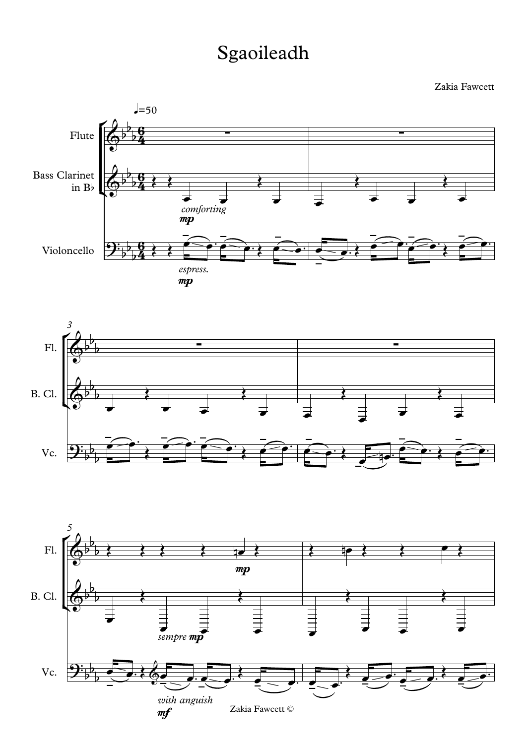## Sgaoileadh

Zakia Fawcett





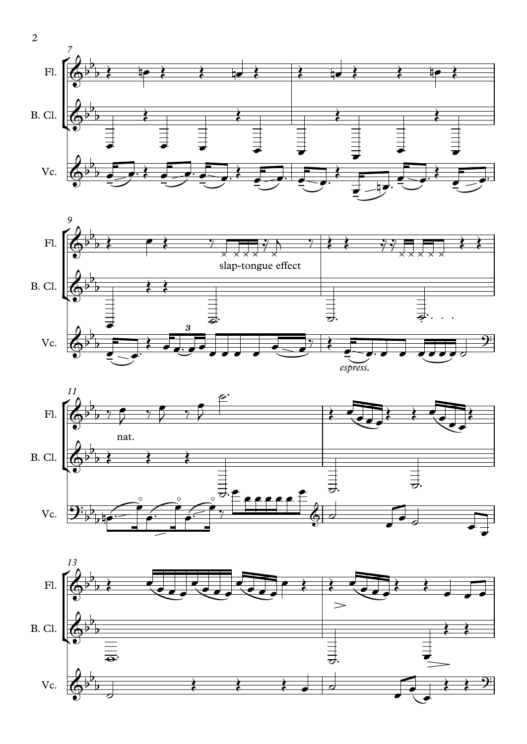





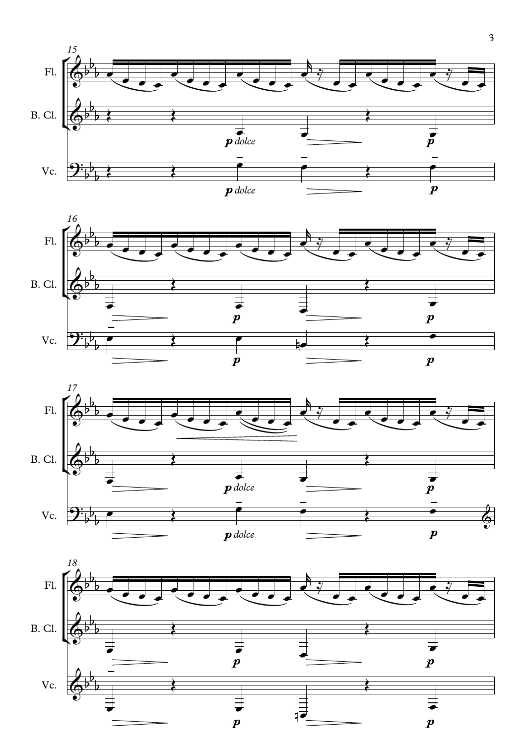





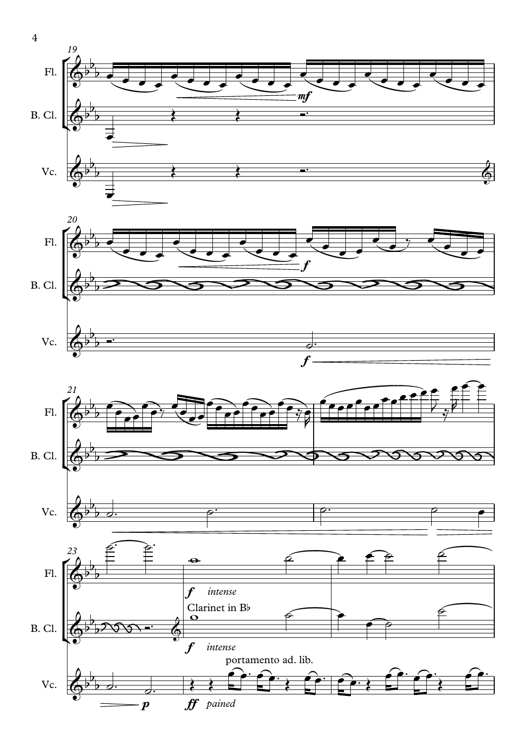



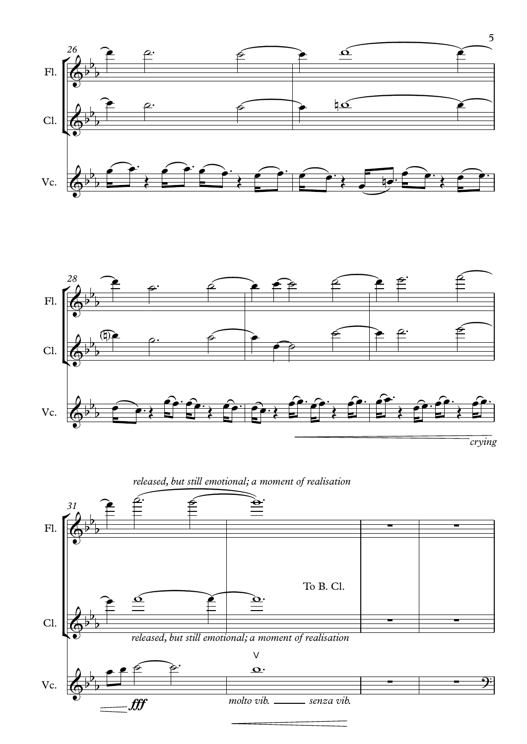





*released, but still emotional; a moment of realisation*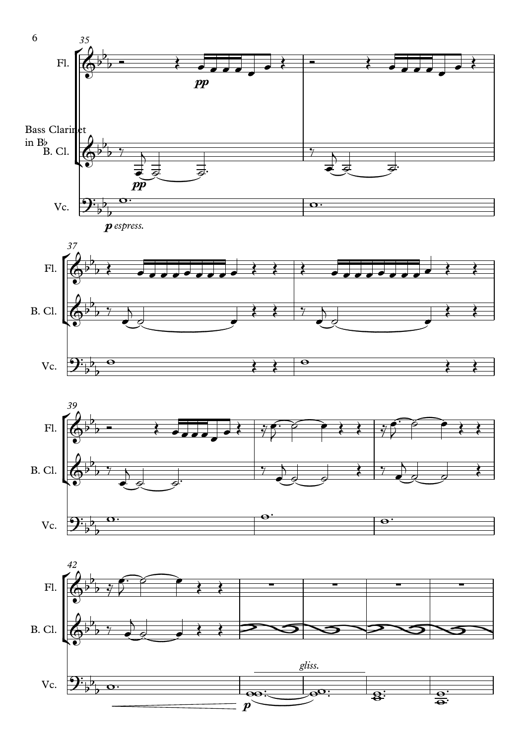

p *espress.*